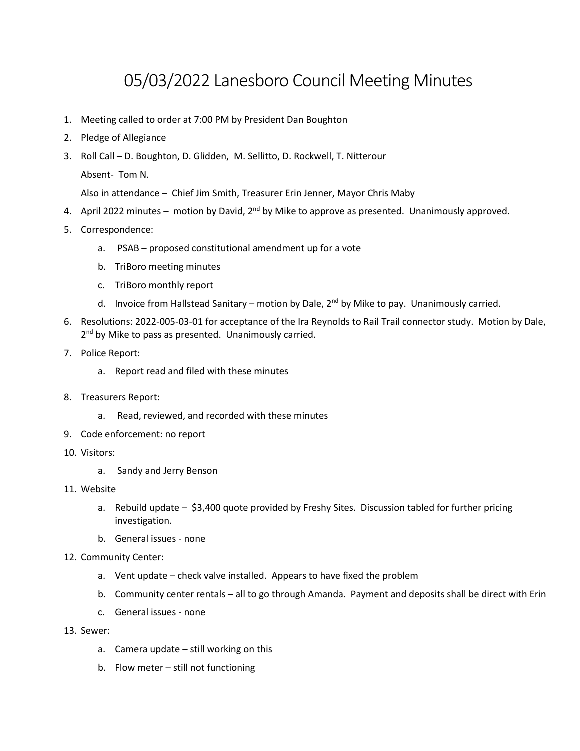# 05/03/2022 Lanesboro Council Meeting Minutes

- 1. Meeting called to order at 7:00 PM by President Dan Boughton
- 2. Pledge of Allegiance
- 3. Roll Call D. Boughton, D. Glidden, M. Sellitto, D. Rockwell, T. Nitterour Absent- Tom N.

Also in attendance – Chief Jim Smith, Treasurer Erin Jenner, Mayor Chris Maby

- 4. April 2022 minutes motion by David,  $2^{nd}$  by Mike to approve as presented. Unanimously approved.
- 5. Correspondence:
	- a. PSAB proposed constitutional amendment up for a vote
	- b. TriBoro meeting minutes
	- c. TriBoro monthly report
	- d. Invoice from Hallstead Sanitary motion by Dale,  $2^{nd}$  by Mike to pay. Unanimously carried.
- 6. Resolutions: 2022-005-03-01 for acceptance of the Ira Reynolds to Rail Trail connector study. Motion by Dale, 2<sup>nd</sup> by Mike to pass as presented. Unanimously carried.
- 7. Police Report:
	- a. Report read and filed with these minutes
- 8. Treasurers Report:
	- a. Read, reviewed, and recorded with these minutes
- 9. Code enforcement: no report
- 10. Visitors:
	- a. Sandy and Jerry Benson
- 11. Website
	- a. Rebuild update \$3,400 quote provided by Freshy Sites. Discussion tabled for further pricing investigation.
	- b. General issues none
- 12. Community Center:
	- a. Vent update check valve installed. Appears to have fixed the problem
	- b. Community center rentals all to go through Amanda. Payment and deposits shall be direct with Erin
	- c. General issues none
- 13. Sewer:
	- a. Camera update still working on this
	- b. Flow meter still not functioning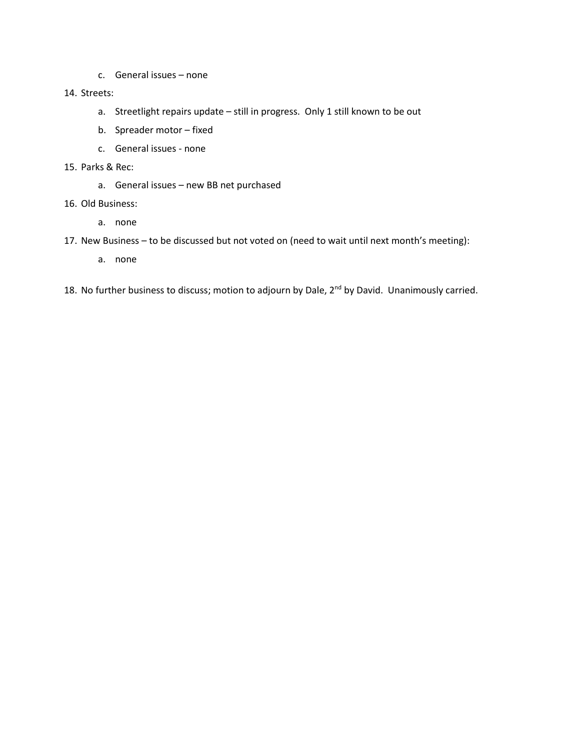c. General issues – none

#### 14. Streets:

- a. Streetlight repairs update still in progress. Only 1 still known to be out
- b. Spreader motor fixed
- c. General issues none
- 15. Parks & Rec:
	- a. General issues new BB net purchased
- 16. Old Business:
	- a. none
- 17. New Business to be discussed but not voted on (need to wait until next month's meeting):
	- a. none
- 18. No further business to discuss; motion to adjourn by Dale, 2<sup>nd</sup> by David. Unanimously carried.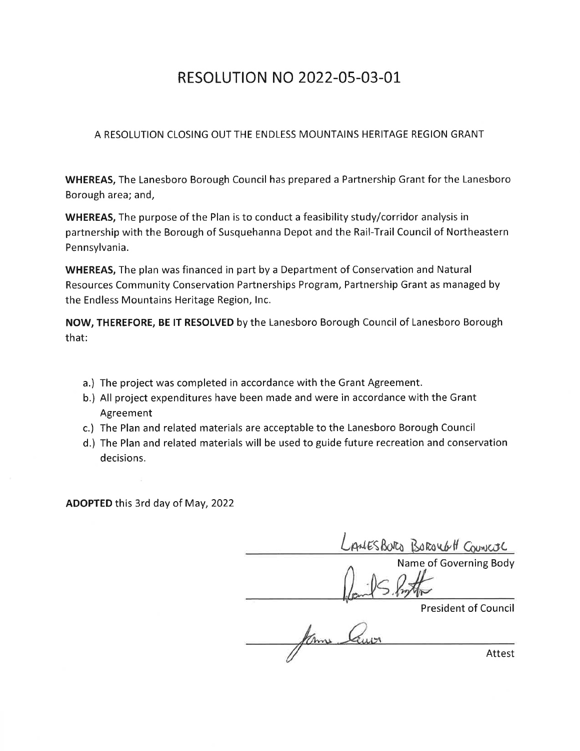# **RESOLUTION NO 2022-05-03-01**

### A RESOLUTION CLOSING OUT THE ENDLESS MOUNTAINS HERITAGE REGION GRANT

**WHEREAS, The Lanesboro Borough Council has prepared a Partnership Grant for the Lanesboro** Borough area; and,

WHEREAS, The purpose of the Plan is to conduct a feasibility study/corridor analysis in partnership with the Borough of Susquehanna Depot and the Rail-Trail Council of Northeastern Pennsylvania.

**WHEREAS, The plan was financed in part by a Department of Conservation and Natural** Resources Community Conservation Partnerships Program, Partnership Grant as managed by the Endless Mountains Heritage Region, Inc.

NOW, THEREFORE, BE IT RESOLVED by the Lanesboro Borough Council of Lanesboro Borough that:

- a.) The project was completed in accordance with the Grant Agreement.
- b.) All project expenditures have been made and were in accordance with the Grant Agreement
- c.) The Plan and related materials are acceptable to the Lanesboro Borough Council
- d.) The Plan and related materials will be used to guide future recreation and conservation decisions.

**ADOPTED** this 3rd day of May, 2022

AMESBORO BOROUGH COUNCIL Name of Governing Body

**President of Council** 

Km Attest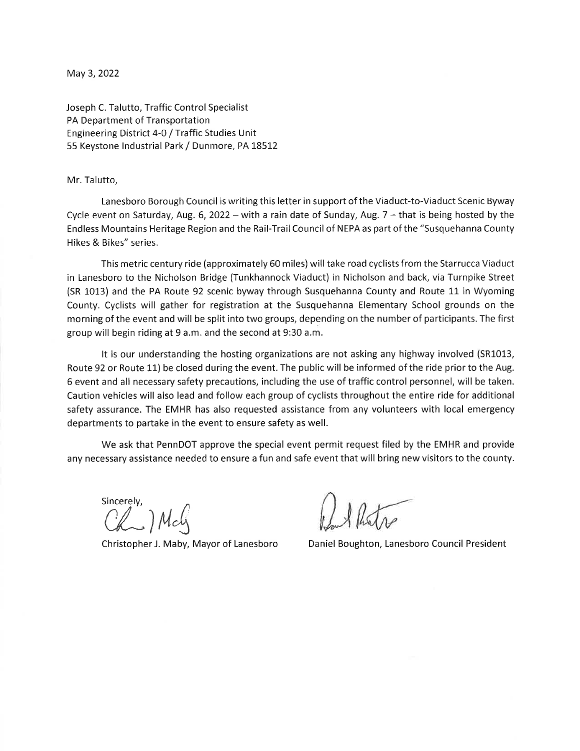May 3, 2022

Joseph C. Talutto, Traffic Control Specialist PA Department of Transportation Engineering District 4-0 / Traffic Studies Unit 55 Keystone Industrial Park / Dunmore, PA 18512

#### Mr. Talutto,

Lanesboro Borough Council is writing this letter in support of the Viaduct-to-Viaduct Scenic Byway Cycle event on Saturday, Aug. 6, 2022 – with a rain date of Sunday, Aug.  $7$  – that is being hosted by the Endless Mountains Heritage Region and the Rail-Trail Council of NEPA as part of the "Susquehanna County Hikes & Bikes" series.

This metric century ride (approximately 60 miles) will take road cyclists from the Starrucca Viaduct in Lanesboro to the Nicholson Bridge (Tunkhannock Viaduct) in Nicholson and back, via Turnpike Street (SR 1013) and the PA Route 92 scenic byway through Susquehanna County and Route 11 in Wyoming County. Cyclists will gather for registration at the Susquehanna Elementary School grounds on the morning of the event and will be split into two groups, depending on the number of participants. The first group will begin riding at 9 a.m. and the second at 9:30 a.m.

It is our understanding the hosting organizations are not asking any highway involved (SR1013, Route 92 or Route 11) be closed during the event. The public will be informed of the ride prior to the Aug. 6 event and all necessary safety precautions, including the use of traffic control personnel, will be taken. Caution vehicles will also lead and follow each group of cyclists throughout the entire ride for additional safety assurance. The EMHR has also requested assistance from any volunteers with local emergency departments to partake in the event to ensure safety as well.

We ask that PennDOT approve the special event permit request filed by the EMHR and provide any necessary assistance needed to ensure a fun and safe event that will bring new visitors to the county.

Sincerely, Chan May

Christopher J. Maby, Mayor of Lanesboro

Daniel Boughton, Lanesboro Council President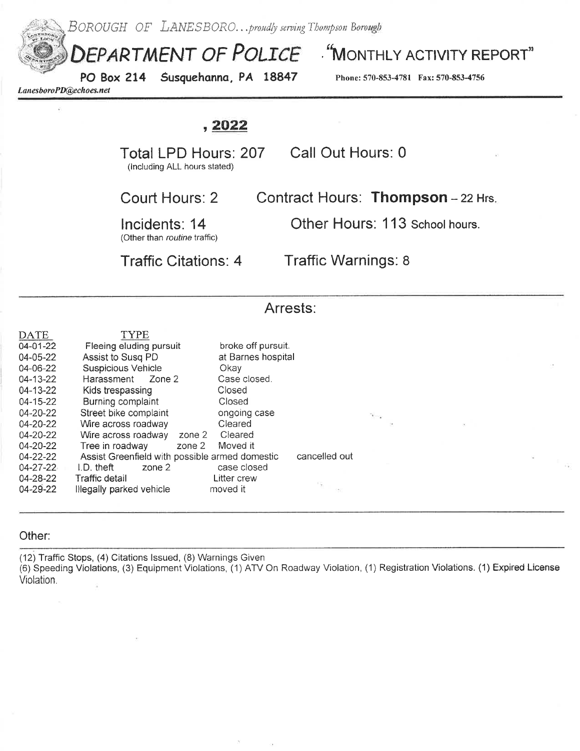

#### Other:

(12) Traffic Stops, (4) Citations Issued, (8) Warnings Given (6) Speeding Violations, (3) Equipment Violations, (1) ATV On Roadway Violation, (1) Registration Violations. (1) Expired License Violation.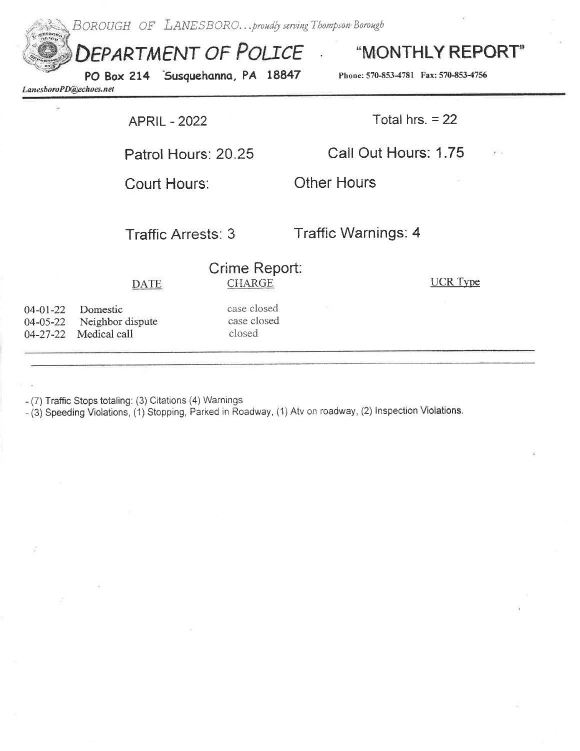BOROUGH OF LANESBORO...proudly serving Thompson Borough

DEPARTMENT OF POLICE

"MONTHLY REPORT"

LanesboroPD@echoes.net

PO Box 214 Susquehanna, PA 18847

Phone: 570-853-4781 Fax: 570-853-4756

**APRIL - 2022** 

Total hrs.  $= 22$ 

Call Out Hours: 1.75

Court Hours:

Traffic Arrests: 3

Patrol Hours: 20.25

**Traffic Warnings: 4** 

**Other Hours** 

|                | <b>DATE</b>                                                    | Crime Report:<br><b>CHARGE</b>       | UCR Type |
|----------------|----------------------------------------------------------------|--------------------------------------|----------|
| $04 - 01 - 22$ | Domestic<br>04-05-22 Neighbor dispute<br>04-27-22 Medical call | case closed<br>case closed<br>closed |          |
|                |                                                                |                                      |          |

 $(7)$  Traffic Stops totaling: (3) Citations (4) Warnings

- (3) Speeding Violations, (1) Stopping, Parked in Roadway, (1) Atv on roadway, (2) Inspection Violations.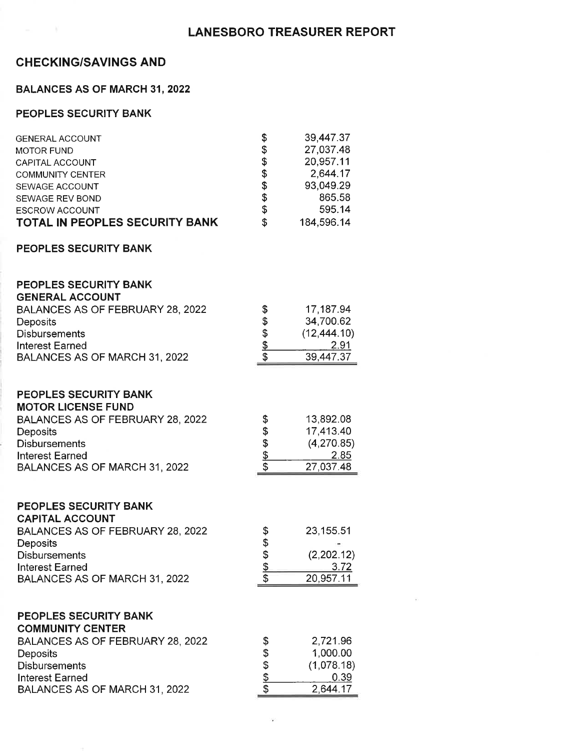### **LANESBORO TREASURER REPORT**

### **CHECKING/SAVINGS AND**

### **BALANCES AS OF MARCH 31, 2022**

### PEOPLES SECURITY BANK

| <b>GENERAL ACCOUNT</b>         | \$  | 39,447.37  |
|--------------------------------|-----|------------|
| <b>MOTOR FUND</b>              | \$  | 27,037.48  |
| CAPITAL ACCOUNT                | \$  | 20,957.11  |
| <b>COMMUNITY CENTER</b>        | \$  | 2,644.17   |
| SEWAGE ACCOUNT                 | \$  | 93,049.29  |
| SEWAGE REV BOND                | \$  | 865.58     |
| <b>ESCROW ACCOUNT</b>          | \$  | 595.14     |
| TOTAL IN PEOPLES SECURITY BANK | \$. | 184,596.14 |

#### PEOPLES SECURITY BANK

#### PEOPLES SECURITY BANK CENERAL ACCOUNT

| <b>UCNCRAL AUUUNT</b>            |   |              |
|----------------------------------|---|--------------|
| BALANCES AS OF FEBRUARY 28, 2022 | S | 17,187.94    |
| <b>Deposits</b>                  | S | 34,700.62    |
| <b>Disbursements</b>             | S | (12, 444.10) |
| <b>Interest Earned</b>           |   | 2.91         |
| BALANCES AS OF MARCH 31, 2022    |   | 39.447.37    |

### PEOPLES SECURITY BANK

### **MOTOR LICENSE FUND**

| BALANCES AS OF FEBRUARY 28, 2022 | S  | 13,892.08  |
|----------------------------------|----|------------|
| <b>Deposits</b>                  | -S | 17.413.40  |
| <b>Disbursements</b>             |    | (4,270.85) |
| Interest Earned                  |    | 2.85       |
| BALANCES AS OF MARCH 31, 2022    |    | 27.037.48  |

#### PEOPLES SECURITY BANK

| <b>CAPITAL ACCOUNT</b>           |            |
|----------------------------------|------------|
| BALANCES AS OF FEBRUARY 28, 2022 | 23,155.51  |
| <b>Deposits</b>                  |            |
| <b>Disbursements</b>             | (2,202.12) |
| <b>Interest Earned</b>           | 3.72       |
| BALANCES AS OF MARCH 31, 2022    | 20,957.11  |

#### PEOPLES SECURITY BANK

| <b>COMMUNITY CENTER</b>          |    |            |
|----------------------------------|----|------------|
| BALANCES AS OF FEBRUARY 28, 2022 | 3. | 2,721.96   |
| <b>Deposits</b>                  | S  | 1,000.00   |
| <b>Disbursements</b>             | S  | (1,078.18) |
| <b>Interest Earned</b>           |    | 0.39       |
| BALANCES AS OF MARCH 31, 2022    |    | 2.644.17   |

**CAS**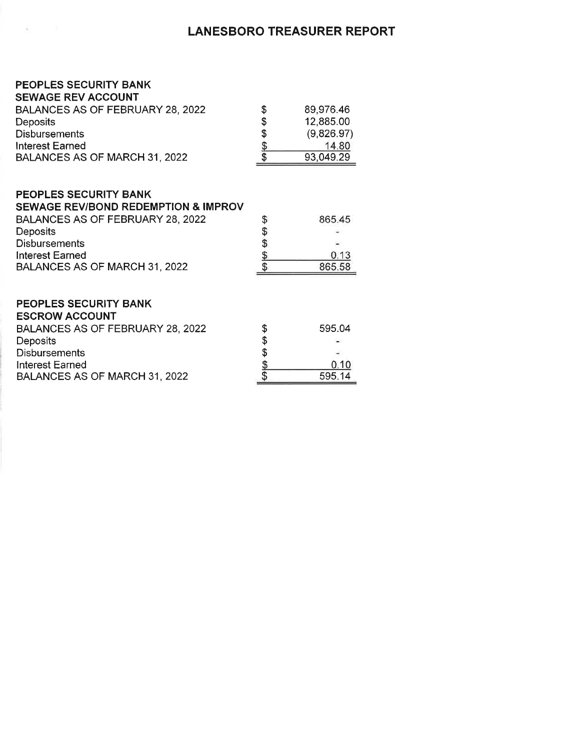### **LANESBORO TREASURER REPORT**

### PEOPLES SECURITY BANK

 $\mathbf{w}$ 

| <b>SEWAGE REV ACCOUNT</b>        |   |            |
|----------------------------------|---|------------|
| BALANCES AS OF FEBRUARY 28, 2022 | S | 89,976.46  |
| <b>Deposits</b>                  | S | 12,885.00  |
| <b>Disbursements</b>             | S | (9,826.97) |
| <b>Interest Earned</b>           |   | 14.80      |
| BALANCES AS OF MARCH 31, 2022    |   | 93,049.29  |

### PEOPLES SECURITY BANK

| <b>SEWAGE REV/BOND REDEMPTION &amp; IMPROV</b> |        |
|------------------------------------------------|--------|
| BALANCES AS OF FEBRUARY 28, 2022               | 865.45 |
| <b>Deposits</b>                                |        |
| <b>Disbursements</b>                           |        |
| <b>Interest Earned</b>                         | 0.13   |
| BALANCES AS OF MARCH 31, 2022                  | 865.58 |
|                                                |        |

### PEOPLES SECURITY BANK

| <b>ESCROW ACCOUNT</b>            |   |        |
|----------------------------------|---|--------|
| BALANCES AS OF FEBRUARY 28, 2022 | S | 595.04 |
| <b>Deposits</b>                  | S | $\sim$ |
| <b>Disbursements</b>             |   |        |
| Interest Earned                  |   | 0.10   |
| BALANCES AS OF MARCH 31, 2022    |   | 595.14 |
|                                  |   |        |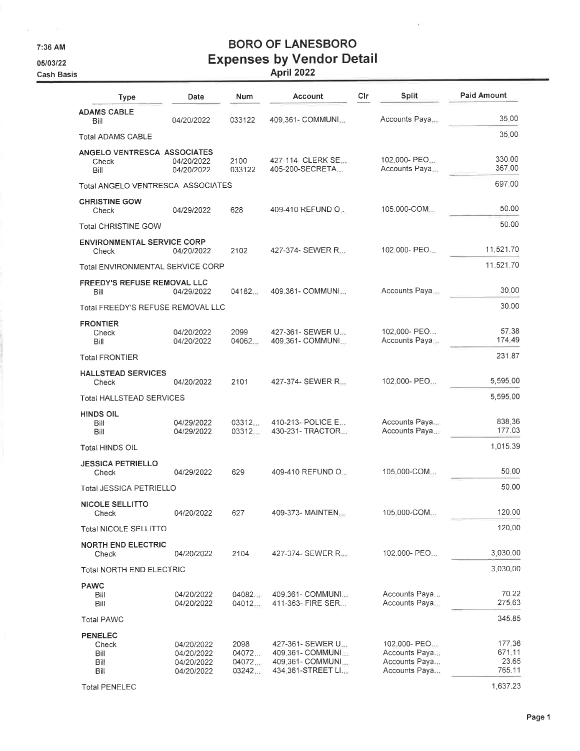7:36 AM

 $\mathcal{L}$ 

05/03/22

# **BORO OF LANESBORO Expenses by Vendor Detail<br>April 2022**

ż,

| <b>Cash Basis</b> |                                                 |                                                      |                                  | April 2022                                                                      |     |                                                                 |                                     |
|-------------------|-------------------------------------------------|------------------------------------------------------|----------------------------------|---------------------------------------------------------------------------------|-----|-----------------------------------------------------------------|-------------------------------------|
|                   | <b>Type</b>                                     | Date                                                 | Num                              | Account                                                                         | Cir | Split                                                           | <b>Paid Amount</b>                  |
|                   | <b>ADAMS CABLE</b><br>Bill                      | 04/20/2022                                           | 033122                           | 409.361- COMMUNI                                                                |     | Accounts Paya                                                   | 35.00                               |
|                   | <b>Total ADAMS CABLE</b>                        |                                                      |                                  |                                                                                 |     |                                                                 | 35.00                               |
|                   | ANGELO VENTRESCA ASSOCIATES<br>Check<br>Bill    | 04/20/2022<br>04/20/2022                             | 2100<br>033122                   | 427-114- CLERK SE<br>405-200-SECRETA                                            |     | 102.000- PEO<br>Accounts Paya                                   | 330.00<br>367.00                    |
|                   | Total ANGELO VENTRESCA ASSOCIATES               |                                                      |                                  |                                                                                 |     |                                                                 | 697.00                              |
|                   | <b>CHRISTINE GOW</b><br>Check                   | 04/29/2022                                           | 628                              | 409-410 REFUND O                                                                |     | 105.000-COM                                                     | 50.00                               |
|                   | <b>Total CHRISTINE GOW</b>                      |                                                      |                                  |                                                                                 |     |                                                                 | 50.00                               |
|                   | <b>ENVIRONMENTAL SERVICE CORP</b><br>Check      | 04/20/2022                                           | 2102                             | 427-374- SEWER R                                                                |     | 102.000- PEO                                                    | 11,521.70                           |
|                   | <b>Total ENVIRONMENTAL SERVICE CORP</b>         |                                                      |                                  |                                                                                 |     |                                                                 | 11,521.70                           |
|                   | <b>FREEDY'S REFUSE REMOVAL LLC</b><br>Bill      | 04/29/2022                                           | 04182                            | 409.361- COMMUNI                                                                |     | Accounts Paya                                                   | 30.00                               |
|                   | Total FREEDY'S REFUSE REMOVAL LLC               |                                                      |                                  |                                                                                 |     |                                                                 | 30:00                               |
|                   | <b>FRONTIER</b><br>Check<br>Bill                | 04/20/2022<br>04/20/2022                             | 2099<br>04062                    | 427-361- SEWER U.J.<br>409.361- COMMUNI                                         |     | 102.000- PEO<br>Accounts Paya                                   | 57.38<br>174.49                     |
|                   | <b>Total FRONTIER</b>                           |                                                      |                                  |                                                                                 |     |                                                                 | 231.87                              |
|                   | <b>HALLSTEAD SERVICES</b><br>Check              | 04/20/2022                                           | 2101                             | 427-374- SEWER R                                                                |     | 102.000- PEO                                                    | 5,595,00                            |
|                   | <b>Total HALLSTEAD SERVICES</b>                 |                                                      |                                  |                                                                                 |     |                                                                 | 5,595,00                            |
|                   | <b>HINDS OIL</b><br>Bill<br>Bill                | 04/29/2022<br>04/29/2022                             | 03312<br>03312                   | 410-213- POLICE E<br>430-231- TRACTOR                                           |     | Accounts Paya<br>Accounts Paya                                  | 838.36<br>177.03                    |
|                   | Total HINDS OIL                                 |                                                      |                                  |                                                                                 |     |                                                                 | 1,015.39                            |
|                   | <b>JESSICA PETRIELLO</b><br>Check               | 04/29/2022                                           | 629                              | 409-410 REFUND O                                                                |     | 105.000-COM                                                     | 50.00                               |
|                   | <b>Total JESSICA PETRIELLO</b>                  |                                                      |                                  |                                                                                 |     |                                                                 | 50.00                               |
|                   | <b>NICOLE SELLITTO</b><br>Check                 | 04/20/2022                                           | 627                              | 409-373- MAINTEN                                                                |     | 105.000-COM                                                     | 120.00                              |
|                   | Total NICOLE SELLITTO                           |                                                      |                                  |                                                                                 |     |                                                                 | 120.00                              |
|                   | <b>NORTH END ELECTRIC</b><br>Check              | 04/20/2022                                           | 2104                             | 427-374- SEWER R                                                                |     | 102,000- PEO                                                    | 3,030.00                            |
|                   | <b>Total NORTH END ELECTRIC</b>                 |                                                      |                                  |                                                                                 |     |                                                                 | 3,030.00                            |
|                   | <b>PAWC</b><br>Bill<br>Bill                     | 04/20/2022<br>04/20/2022                             | 04082.<br>04012                  | 409-361- COMMUNI<br>411-363- FIRE SER                                           |     | Accounts Paya<br>Accounts Paya                                  | 70.22<br>275.63                     |
|                   | <b>Total PAWC</b>                               |                                                      |                                  |                                                                                 |     |                                                                 | 345.85                              |
|                   | <b>PENELEC</b><br>Check<br>Bill<br>Bill<br>Bill | 04/20/2022<br>04/20/2022<br>04/20/2022<br>04/20/2022 | 2098<br>04072<br>04072.<br>03242 | 427-361- SEWER U<br>409.361 - COMMUNI<br>409.361- COMMUNI<br>434.361-STREET LI. |     | 102.000- PEO<br>Accounts Paya<br>Accounts Paya<br>Accounts Paya | 177.36<br>671.11<br>23.65<br>765.11 |

**Total PENELEC** 

1,637.23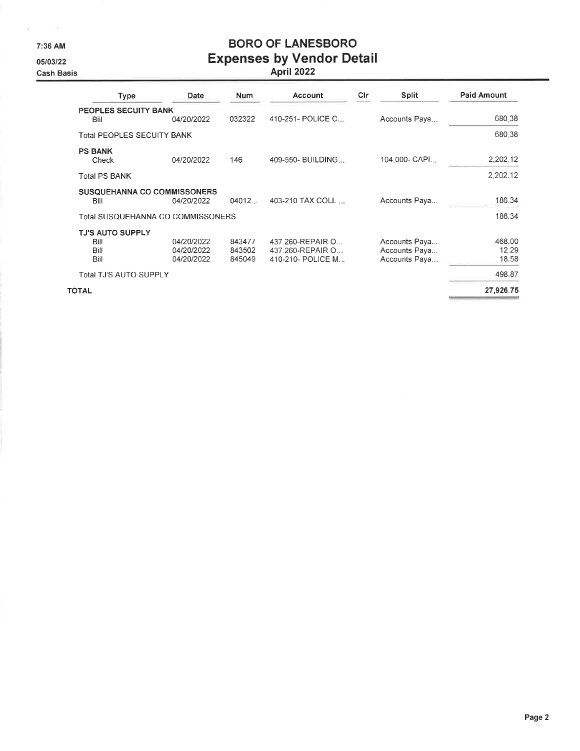7:36 AM

 $\mathbf{g} = -\mathbf{e}$  .

05/03/22

**Cash Basis** 

# **BORO OF LANESBORO Expenses by Vendor Detail**<br>April 2022

| <b>Type</b>                                     | Date                                   | Num                        | Account                                                   | Cir | <b>Split</b>                                    | <b>Paid Amount</b>       |
|-------------------------------------------------|----------------------------------------|----------------------------|-----------------------------------------------------------|-----|-------------------------------------------------|--------------------------|
| PEOPLES SECUITY BANK<br>Bill                    | 04/20/2022                             | 032322                     | 410-251- POLICE C                                         |     | Accounts Paya                                   | 680.38                   |
| <b>Total PEOPLES SECUITY BANK</b>               |                                        |                            |                                                           |     |                                                 | 680.38                   |
| <b>PS BANK</b><br>Check                         | 04/20/2022                             | 146                        | 409-550- BUILDING                                         |     | 104.000- CAPI                                   | 2,202.12                 |
| Total PS BANK                                   |                                        |                            |                                                           |     |                                                 | 2,202.12                 |
| <b>SUSQUEHANNA CO COMMISSONERS</b><br>Bill      | 04/20/2022                             | 04012                      | 403-210 TAX COLL                                          |     | Accounts Paya                                   | 186.34                   |
| Total SUSQUEHANNA CO COMMISSONERS               |                                        |                            |                                                           |     |                                                 | 186.34                   |
| <b>TJ'S AUTO SUPPLY</b><br>Bill<br>Bill<br>Bill | 04/20/2022<br>04/20/2022<br>04/20/2022 | 843477<br>843502<br>845049 | 437.260-REPAIR O<br>437.260-REPAIR O<br>410-210- POLICE M |     | Accounts Paya<br>Accounts Paya<br>Accounts Paya | 468.00<br>12.29<br>18.58 |
| <b>Total TJ'S AUTO SUPPLY</b>                   |                                        |                            |                                                           |     |                                                 | 498.87                   |
| OTAL                                            |                                        |                            |                                                           |     |                                                 | 27,926.75                |

**TOTAL**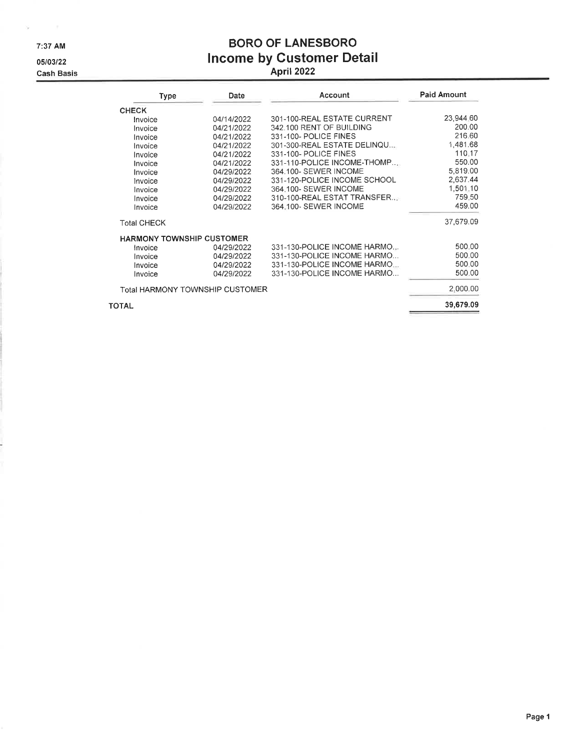7:37 AM

 $\omega = -1$ 

05/03/22

**Cash Basis** 

# **BORO OF LANESBORO** Income by Customer Detail<br>April 2022

| <b>Type</b>                      | Date       | Account                      | <b>Paid Amount</b> |
|----------------------------------|------------|------------------------------|--------------------|
| <b>CHECK</b>                     |            |                              |                    |
| Invoice                          | 04/14/2022 | 301-100-REAL ESTATE CURRENT  | 23,944.60          |
| Invoice                          | 04/21/2022 | 342.100 RENT OF BUILDING     | 200.00             |
| Invoice                          | 04/21/2022 | 331-100- POLICE FINES        | 216.60             |
| Invoice                          | 04/21/2022 | 301-300-REAL ESTATE DELINQU  | 1,481.68           |
| Invoice                          | 04/21/2022 | 331-100- POLICE FINES        | 110.17             |
| Invoice                          | 04/21/2022 | 331-110-POLICE INCOME-THOMP  | 550.00             |
| Invoice                          | 04/29/2022 | 364.100- SEWER INCOME        | 5,819.00           |
| Invoice                          | 04/29/2022 | 331-120-POLICE INCOME SCHOOL | 2,637.44           |
| Invoice                          | 04/29/2022 | 364-100- SEWER INCOME        | 1,501.10           |
| Invoice                          | 04/29/2022 | 310-100-REAL ESTAT TRANSFER  | 759.50             |
| Invoice                          | 04/29/2022 | 364.100- SEWER INCOME        | 459.00             |
| <b>Total CHECK</b>               |            |                              | 37,679.09          |
| <b>HARMONY TOWNSHIP CUSTOMER</b> |            |                              |                    |
| Invoice                          | 04/29/2022 | 331-130-POLICE INCOME HARMO  | 500.00             |
| Invoice                          | 04/29/2022 | 331-130-POLICE INCOME HARMO  | 500.00             |
| Invoice                          | 04/29/2022 | 331-130-POLICE INCOME HARMO  | 500.00             |
| Invoice                          | 04/29/2022 | 331-130-POLICE INCOME HARMO  | 500.00             |
| Total HARMONY TOWNSHIP CUSTOMER  |            |                              | 2,000.00           |
| <b>TOTAL</b>                     |            |                              | 39,679.09          |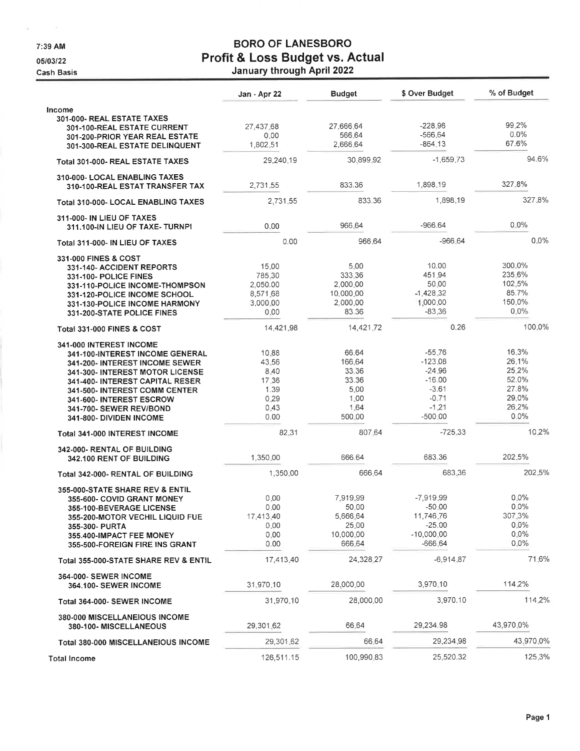7:39 AM

 $\omega$  ,  $\omega$  ,  $\omega$  ,  $\omega$ 

05/03/22

**Cash Basis** 

# **BORO OF LANESBORO** Profit & Loss Budget vs. Actual<br>January through April 2022

|                                                                  | Jan - Apr 22         | <b>Budget</b>         | \$ Over Budget        | % of Budget       |
|------------------------------------------------------------------|----------------------|-----------------------|-----------------------|-------------------|
| Income                                                           |                      |                       |                       |                   |
| 301-000- REAL ESTATE TAXES                                       |                      |                       | $-228.96$             | 99.2%             |
| 301-100-REAL ESTATE CURRENT                                      | 27,437.68<br>0.00    | 27,666.64<br>566.64   | $-566.64$             | $0.0\%$           |
| 301-200-PRIOR YEAR REAL ESTATE<br>301-300-REAL ESTATE DELINQUENT | 1,802.51             | 2.666.64              | $-864.13$             | 67.6%             |
|                                                                  |                      | 30,899.92             | $-1,659.73$           | 94.6%             |
| Total 301-000- REAL ESTATE TAXES                                 | 29,240.19            |                       |                       |                   |
| 310-000- LOCAL ENABLING TAXES<br>310-100-REAL ESTAT TRANSFER TAX | 2.731.55             | 833.36                | 1,898.19              | 327.8%            |
| Total 310-000- LOCAL ENABLING TAXES                              | 2.731.55             | 833.36                | 1,898,19              | 327.8%            |
| 311-000- IN LIEU OF TAXES<br>311,100-IN LIEU OF TAXE-TURNPI      | 0.00                 | 966.64                | $-966.64$             | $0.0\%$           |
| Total 311-000- IN LIEU OF TAXES                                  | 0.00                 | 966.64                | $-966.64$             | $0.0\%$           |
| 331-000 FINES & COST                                             |                      |                       |                       |                   |
| 331-140- ACCIDENT REPORTS                                        | 15.00                | 5.00                  | 10.00                 | 300.0%            |
| 331-100- POLICE FINES                                            | 785.30               | 333.36                | 451.94                | 235.6%<br>102.5%  |
| 331-110-POLICE INCOME-THOMPSON<br>331-120-POLICE INCOME SCHOOL   | 2.050.00<br>8,571.68 | 2,000.00<br>10,000.00 | 50.00<br>$-1,428.32$  | 85.7%             |
| 331-130-POLICE INCOME HARMONY                                    | 3,000.00             | 2,000.00              | 1,000.00              | 150.0%            |
| 331-200-STATE POLICE FINES                                       | 0.00                 | 83.36                 | $-83.36$              | 0.0%              |
| <b>Total 331-000 FINES &amp; COST</b>                            | 14,421,98            | 14,421.72             | 0.26                  | 100.0%            |
| 341-000 INTEREST INCOME                                          |                      |                       |                       |                   |
| <b>341-100-INTEREST INCOME GENERAL</b>                           | 10.88                | 66.64                 | $-55.76$              | 16.3%             |
| 341-200- INTEREST INCOME SEWER                                   | 43.56                | 166.64                | $-123.08$             | 26.1%             |
| 341-300- INTEREST MOTOR LICENSE                                  | 8.40                 | 33.36                 | $-24.96$              | 25.2%             |
| 341-400- INTEREST CAPITAL RESER                                  | 17.36                | 33.36                 | $-16.00$              | 52.0%<br>27.8%    |
| <b>341-500- INTEREST COMM CENTER</b>                             | 1.39<br>0.29         | 5.00<br>1.00          | $-3.61$<br>$-0.71$    | 29.0%             |
| 341-600- INTEREST ESCROW<br>341-700- SEWER REV/BOND              | 0.43                 | 1.64                  | $-1,21$               | 26.2%             |
| 341-800- DIVIDEN INCOME                                          | 0.00                 | 500.00                | $-500.00$             | 0.0%              |
| Total 341-000 INTEREST INCOME                                    | 82.31                | 807.64                | $-725.33$             | 10.2%             |
| 342-000- RENTAL OF BUILDING                                      |                      |                       |                       |                   |
| 342.100 RENT OF BUILDING                                         | 1,350.00             | 666.64                | 683.36                | 202.5%            |
| Total 342-000- RENTAL OF BUILDING                                | 1,350.00             | 666.64                | 683.36                | 202.5%            |
| 355-000-STATE SHARE REV & ENTIL                                  |                      |                       |                       |                   |
| 355-600- COVID GRANT MONEY                                       | 0.00                 | 7.919.99              | $-7,919.99$           | $0.0\%$           |
| 355-100-BEVERAGE LICENSE                                         | 0.00                 | 50.00                 | $-50.00$              | $0.0\%$           |
| <b>355-200-MOTOR VECHIL LIQUID FUE</b>                           | 17,413.40            | 5,666.64<br>25.00     | 11,746.76<br>$-25.00$ | 307.3%<br>$0.0\%$ |
| 355-300- PURTA                                                   | 0.00<br>0.00         | 10,000.00             | $-10,000,00$          | $0.0\%$           |
| 355.400-IMPACT FEE MONEY<br>355-500-FOREIGN FIRE INS GRANT       | 0.00                 | 666.64                | $-666.64$             | $0.0\%$           |
| Total 355-000-STATE SHARE REV & ENTIL                            | 17,413.40            | 24,328,27             | $-6,914.87$           | 71.6%             |
|                                                                  |                      |                       |                       |                   |
| <b>364-000- SEWER INCOME</b><br>364.100- SEWER INCOME            | 31,970.10            | 28,000.00             | 3,970.10              | 114.2%            |
| Total 364-000- SEWER INCOME                                      | 31.970.10            | 28,000.00             | 3,970.10              | 114.2%            |
| 380-000 MISCELLANEIOUS INCOME<br>380-100- MISCELLANEOUS          | 29,301.62            | 66.64                 | 29,234.98             | 43,970.0%         |
| <b>Total 380-000 MISCELLANEIOUS INCOME</b>                       | 29,301.62            | 66.64                 | 29,234.98             | 43,970.0%         |
|                                                                  | 126,511.15           | 100,990.83            | 25,520.32             | 125.3%            |
| <b>Total Income</b>                                              |                      |                       |                       |                   |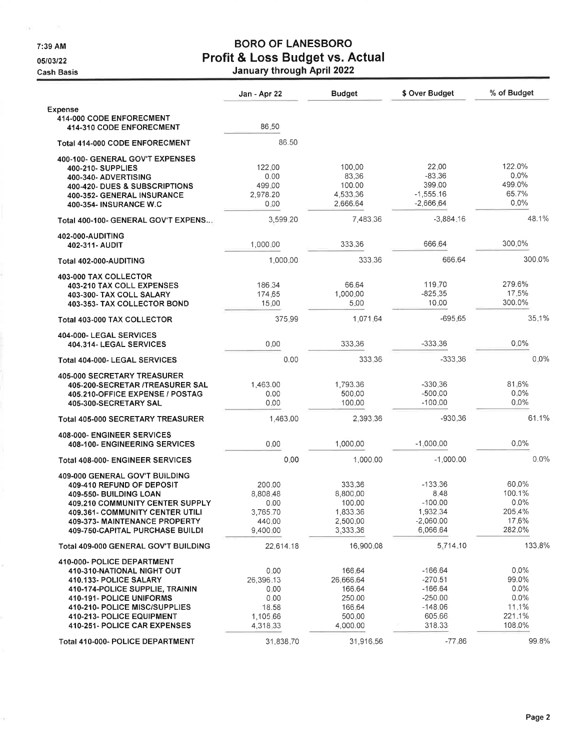7:39 AM

 $\sim 10^{11}$ 

05/03/22

**Cash Basis** 

# **BORO OF LANESBORO** Profit & Loss Budget vs. Actual<br>January through April 2022

|                                                                                                                                                                                                                                                 | Jan - Apr 22                                                       | <b>Budget</b>                                                           | \$ Over Budget                                                                    | % of Budget                                                      |
|-------------------------------------------------------------------------------------------------------------------------------------------------------------------------------------------------------------------------------------------------|--------------------------------------------------------------------|-------------------------------------------------------------------------|-----------------------------------------------------------------------------------|------------------------------------------------------------------|
| <b>Expense</b>                                                                                                                                                                                                                                  |                                                                    |                                                                         |                                                                                   |                                                                  |
| <b>414-000 CODE ENFORECMENT</b><br>414-310 CODE ENFORECMENT                                                                                                                                                                                     | 86.50                                                              |                                                                         |                                                                                   |                                                                  |
| Total 414-000 CODE ENFORECMENT                                                                                                                                                                                                                  | 86.50                                                              |                                                                         |                                                                                   |                                                                  |
| 400-100- GENERAL GOV'T EXPENSES<br>400-210- SUPPLIES<br>400-340- ADVERTISING<br><b>400-420- DUES &amp; SUBSCRIPTIONS</b><br>400-352- GENERAL INSURANCE<br>400-354- INSURANCE W.C                                                                | 122.00<br>0.00<br>499.00<br>2,978.20<br>0.00                       | 100.00<br>83.36<br>100.00<br>4,533,36<br>2,666.64                       | 22.00<br>$-83.36$<br>399.00<br>$-1.555.16$<br>$-2,666,64$                         | 122.0%<br>$0.0\%$<br>499.0%<br>65.7%<br>$0.0\%$                  |
| Total 400-100- GENERAL GOV'T EXPENS                                                                                                                                                                                                             | 3,599.20                                                           | 7,483,36                                                                | $-3,884,16$                                                                       | 48.1%                                                            |
| 402-000-AUDITING<br>402-311- AUDIT                                                                                                                                                                                                              | 1,000:00                                                           | 333.36                                                                  | 666.64                                                                            | 300.0%                                                           |
| Total 402-000-AUDITING                                                                                                                                                                                                                          | 1,000.00                                                           | 333.36                                                                  | 666.64                                                                            | 300.0%                                                           |
| 403-000 TAX COLLECTOR<br>403-210 TAX COLL EXPENSES<br>403-300- TAX COLL SALARY<br>403-353- TAX COLLECTOR BOND                                                                                                                                   | 186,34<br>174,65<br>15.00                                          | 66.64<br>1,000.00<br>5.00<br>1,071.64                                   | 119,70<br>$-825.35$<br>10.00<br>$-695.65$                                         | 279.6%<br>17.5%<br>300.0%<br>35.1%                               |
| Total 403-000 TAX COLLECTOR                                                                                                                                                                                                                     | 375.99                                                             |                                                                         |                                                                                   |                                                                  |
| 404-000- LEGAL SERVICES<br>404.314- LEGAL SERVICES                                                                                                                                                                                              | 0.00                                                               | 333.36                                                                  | $-333.36$                                                                         | 0.0%                                                             |
| Total 404-000- LEGAL SERVICES                                                                                                                                                                                                                   | 0.00                                                               | 333.36                                                                  | $-333.36$                                                                         | $0.0\%$                                                          |
| 405-000 SECRETARY TREASURER<br>405-200-SECRETAR /TREASURER SAL<br>405.210-OFFICE EXPENSE / POSTAG<br>405-300-SECRETARY SAL                                                                                                                      | 1,463.00<br>0.00<br>0.00                                           | 1,793.36<br>500.00<br>100.00                                            | -330.36<br>$-500.00$<br>$-100.00$                                                 | 81.6%<br>$0.0\%$<br>$0.0\%$                                      |
| Total 405-000 SECRETARY TREASURER                                                                                                                                                                                                               | 1,463.00                                                           | 2,393.36                                                                | $-930.36$                                                                         | 61.1%                                                            |
| 408-000- ENGINEER SERVICES<br><b>408-100- ENGINEERING SERVICES</b>                                                                                                                                                                              | 0.00                                                               | 1,000.00                                                                | $-1,000,00$                                                                       | $0.0\%$                                                          |
| <b>Total 408-000- ENGINEER SERVICES</b>                                                                                                                                                                                                         | 0.00                                                               | 1,000.00                                                                | $-1,000.00$                                                                       | 0.0%                                                             |
| 409-000 GENERAL GOV'T BUILDING<br>409-410 REFUND OF DEPOSIT<br>409-550- BUILDING LOAN<br>409.210 COMMUNITY CENTER SUPPLY<br><b>409.361- COMMUNITY CENTER UTILI</b><br>409-373- MAINTENANCE PROPERTY<br>409-750-CAPITAL PURCHASE BUILDI          | 200.00<br>8,808.48<br>0.00<br>3,765.70<br>440.00<br>9,400.00       | 333.36<br>8,800.00<br>100.00<br>1,833.36<br>2,500.00<br>3,333.36        | $-133.36$<br>8.48<br>$-100.00$<br>1,932.34<br>$-2,060.00$<br>6,066.64             | 60.0%<br>100.1%<br>$0.0\%$<br>205.4%<br>17.6%<br>282.0%          |
| Total 409-000 GENERAL GOV'T BUILDING                                                                                                                                                                                                            | 22,614.18                                                          | 16,900.08                                                               | 5,714.10                                                                          | 133.8%                                                           |
| 410-000- POLICE DEPARTMENT<br>410-310-NATIONAL NIGHT OUT<br>410.133- POLICE SALARY<br>410-174-POLICE SUPPLIE, TRAININ<br>410-191- POLICE UNIFORMS<br>410-210- POLICE MISC/SUPPLIES<br>410-213- POLICE EQUIPMENT<br>410-251- POLICE CAR EXPENSES | 0.00<br>26,396.13<br>0.00<br>0.00<br>18.58<br>1,105.66<br>4,318.33 | 166.64<br>26,666.64<br>166.64<br>250.00<br>166.64<br>500.00<br>4,000.00 | $-166.64$<br>$-270.51$<br>$-166.64$<br>$-250.00$<br>$-148.06$<br>605.66<br>318.33 | $0.0\%$<br>99.0%<br>$0.0\%$<br>0.0%<br>11.1%<br>221.1%<br>108.0% |
| Total 410-000- POLICE DEPARTMENT                                                                                                                                                                                                                | 31,838.70                                                          | 31,916.56                                                               | $-77.86$                                                                          | 99.8%                                                            |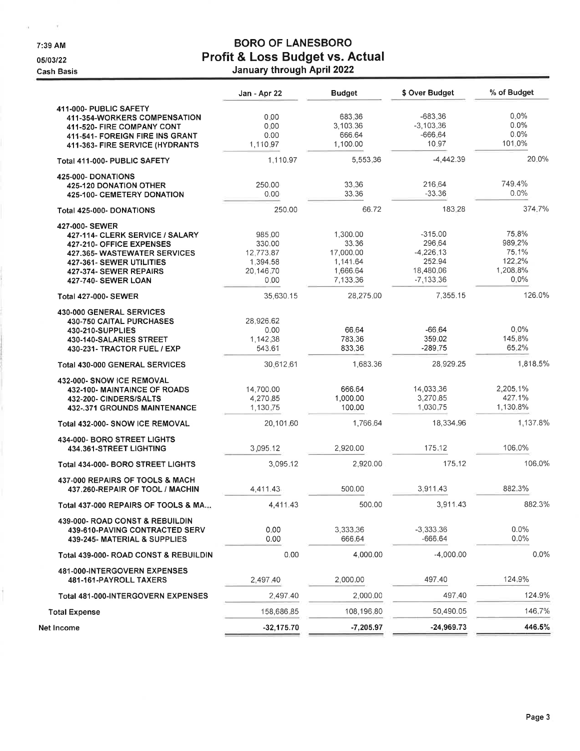7:39 AM

 $\alpha = -\alpha$ 

Ł

05/03/22

**Cash Basis** 

# **BORO OF LANESBORO** Profit & Loss Budget vs. Actual<br>January through April 2022

|                                                                                                                                                                                                          | Jan - Apr 22                                                   | <b>Budget</b>                                                      | \$ Over Budget                                                           | % of Budget                                               |
|----------------------------------------------------------------------------------------------------------------------------------------------------------------------------------------------------------|----------------------------------------------------------------|--------------------------------------------------------------------|--------------------------------------------------------------------------|-----------------------------------------------------------|
| 411-000- PUBLIC SAFETY<br>411-354-WORKERS COMPENSATION<br>411-520- FIRE COMPANY CONT<br>411-541- FOREIGN FIRE INS GRANT<br>411-363- FIRE SERVICE (HYDRANTS                                               | 0.00<br>0.00<br>0.00<br>1.110.97                               | 683.36<br>3,103.36<br>666.64<br>1,100.00                           | $-683.36$<br>$-3,103,36$<br>$-666.64$<br>10.97                           | $0.0\%$<br>$0.0\%$<br>$0.0\%$<br>101.0%                   |
| Total 411-000- PUBLIC SAFETY                                                                                                                                                                             | 1,110.97                                                       | 5,553,36                                                           | $-4,442.39$                                                              | 20.0%                                                     |
| <b>425-000-DONATIONS</b><br><b>425-120 DONATION OTHER</b><br><b>425-100- CEMETERY DONATION</b>                                                                                                           | 250.00<br>0.00                                                 | 33.36<br>33.36                                                     | 216,64<br>$-33.36$                                                       | 749.4%<br>0.0%                                            |
| Total 425-000- DONATIONS                                                                                                                                                                                 | 250.00                                                         | 66.72                                                              | 183.28                                                                   | 374.7%                                                    |
| 427-000- SEWER<br>427-114- CLERK SERVICE / SALARY<br>427-210- OFFICE EXPENSES<br><b>427.365- WASTEWATER SERVICES</b><br>427-361- SEWER UTILITIES<br>427-374- SEWER REPAIRS<br><b>427-740- SEWER LOAN</b> | 985.00<br>330.00<br>12,773.87<br>1,394.58<br>20,146.70<br>0.00 | 1,300.00<br>33.36<br>17,000.00<br>1,141.64<br>1,666.64<br>7,133.36 | $-315.00$<br>296.64<br>$-4,226.13$<br>252.94<br>18,480.06<br>$-7,133,36$ | 75.8%<br>989.2%<br>75.1%<br>122.2%<br>1,208.8%<br>$0.0\%$ |
| <b>Total 427-000- SEWER</b>                                                                                                                                                                              | 35,630.15                                                      | 28,275.00                                                          | 7,355.15                                                                 | 126.0%                                                    |
| 430-000 GENERAL SERVICES<br><b>430-750 CAITAL PURCHASES</b><br>430-210-SUPPLIES<br>430-140-SALARIES STREET<br>430-231- TRACTOR FUEL / EXP                                                                | 28,926.62<br>0.00<br>1,142,38<br>543.61                        | 66.64<br>783.36<br>833.36                                          | $-66.64$<br>359.02<br>$-289.75$                                          | $0.0\%$<br>145.8%<br>65.2%                                |
| Total 430-000 GENERAL SERVICES                                                                                                                                                                           | 30,612,61                                                      | 1,683.36                                                           | 28,929.25                                                                | 1,818.5%                                                  |
| 432-000- SNOW ICE REMOVAL<br>432-100- MAINTAINCE OF ROADS<br>432-200- CINDERS/SALTS<br>432-.371 GROUNDS MAINTENANCE                                                                                      | 14,700.00<br>4,270.85<br>1,130.75                              | 666.64<br>1,000.00<br>100.00                                       | 14,033,36<br>3,270.85<br>1,030,75                                        | 2,205.1%<br>427.1%<br>1,130.8%                            |
| Total 432-000- SNOW ICE REMOVAL                                                                                                                                                                          | 20,101.60                                                      | 1,766.64                                                           | 18,334.96                                                                | 1,137.8%                                                  |
| 434-000- BORO STREET LIGHTS<br>434.361-STREET LIGHTING                                                                                                                                                   | 3,095.12                                                       | 2,920.00                                                           | 175.12                                                                   | 106.0%                                                    |
| Total 434-000- BORO STREET LIGHTS                                                                                                                                                                        | 3,095.12                                                       | 2,920.00                                                           | 175.12                                                                   | 106.0%                                                    |
| 437-000 REPAIRS OF TOOLS & MACH<br>437.260-REPAIR OF TOOL / MACHIN                                                                                                                                       | 4,411.43                                                       | 500.00                                                             | 3,911.43                                                                 | 882.3%                                                    |
| Total 437-000 REPAIRS OF TOOLS & MA.,                                                                                                                                                                    | 4,411.43                                                       | 500.00                                                             | 3,911.43                                                                 | 882.3%                                                    |
| 439-000- ROAD CONST & REBUILDIN<br>439-610-PAVING CONTRACTED SERV<br>439-245- MATERIAL & SUPPLIES                                                                                                        | 0.00<br>0.00                                                   | 3,333.36<br>666.64                                                 | $-3,333.36$<br>$-666.64$                                                 | 0.0%<br>$0.0\%$                                           |
| Total 439-000- ROAD CONST & REBUILDIN                                                                                                                                                                    | 0.00                                                           | 4,000.00                                                           | $-4,000,00$                                                              | $0.0\%$                                                   |
| <b>481-000-INTERGOVERN EXPENSES</b><br>481-161-PAYROLL TAXERS                                                                                                                                            | 2,497.40                                                       | 2,000.00                                                           | 497.40                                                                   | 124.9%                                                    |
| Total 481-000-INTERGOVERN EXPENSES                                                                                                                                                                       | 2,497.40                                                       | 2,000.00                                                           | 497.40                                                                   | 124.9%                                                    |
| <b>Total Expense</b>                                                                                                                                                                                     | 158,686.85                                                     | 108,196,80                                                         | 50,490.05                                                                | 146.7%                                                    |
| Net Income                                                                                                                                                                                               | $-32,175.70$                                                   | $-7,205.97$                                                        | $-24,969.73$                                                             | 446.5%                                                    |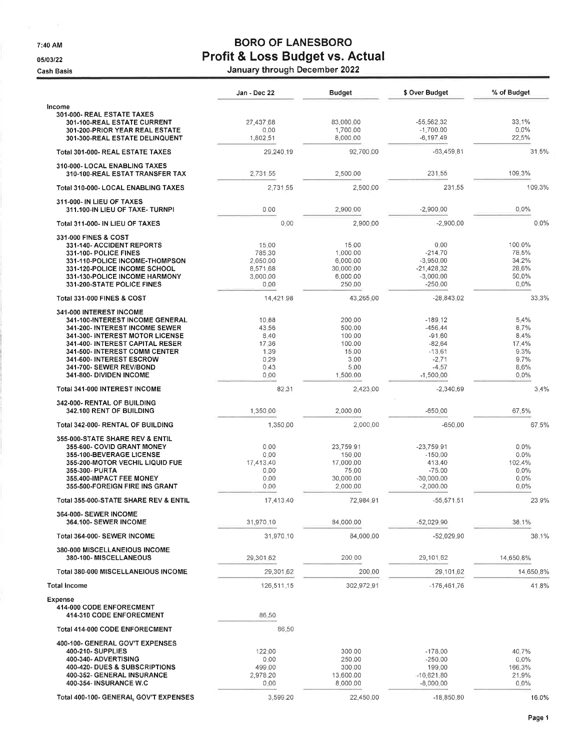7:40 AM

05/03/22

**Cash Basis** 

# **BORO OF LANESBORO** Profit & Loss Budget vs. Actual

|                                                                       | Jan - Dec 22         | <b>Budget</b>         | \$ Over Budget              | % of Budget      |
|-----------------------------------------------------------------------|----------------------|-----------------------|-----------------------------|------------------|
| Income                                                                |                      |                       |                             |                  |
| 301-000- REAL ESTATE TAXES                                            |                      |                       |                             |                  |
| 301-100-REAL ESTATE CURRENT                                           | 27,437.68<br>0.00    | 83,000.00             | $-55,562,32$                | 33.1%<br>$0.0\%$ |
| 301-200-PRIOR YEAR REAL ESTATE<br>301-300-REAL ESTATE DELINQUENT      | 1,802.51             | 1,700.00<br>8,000.00  | $-1,700,00$<br>$-6,197,49$  | 22.5%            |
| Total 301-000- REAL ESTATE TAXES                                      | 29,240.19            | 92,700.00             | $-63,459.81$                | 31.5%            |
| 310-000- LOCAL ENABLING TAXES                                         |                      |                       |                             |                  |
| 310-100-REAL ESTAT TRANSFER TAX                                       | 2.731.55             | 2,500.00              | 231.55                      | 109.3%           |
| Total 310-000- LOCAL ENABLING TAXES                                   | 2,731.55             | 2,500.00              | 231.55                      | 109.3%           |
| 311-000- IN LIEU OF TAXES<br>311.100-IN LIEU OF TAXE-TURNPI           | 0.00                 | 2.900.00              | $-2,900.00$                 | $0.0\%$          |
| Total 311-000- IN LIEU OF TAXES                                       | 0.00                 | 2,900,00              | $-2,900,00$                 | $0.0\%$          |
| 331-000 FINES & COST                                                  |                      |                       |                             |                  |
| 331-140- ACCIDENT REPORTS                                             | 15.00                | 15:00                 | 0.00                        | 100.0%           |
| 331-100- POLICE FINES                                                 | 785.30               | 1,000.00              | $-214.70$                   | 78,5%            |
| 331-110-POLICE INCOME-THOMPSON<br>331-120-POLICE INCOME SCHOOL        | 2,050.00<br>8,571.68 | 6,000.00<br>30,000,00 | $-3,950,00$<br>$-21,428,32$ | 34.2%<br>28.6%   |
| 331-130-POLICE INCOME HARMONY                                         | 3,000.00             | 6,000.00              | $-3,000,00$                 | 50.0%            |
| 331-200-STATE POLICE FINES                                            | 0.00                 | 250 00                | $-250.00$                   | 0.0%             |
| <b>Total 331-000 FINES &amp; COST</b>                                 | 14,421.98            | 43.265.00             | $-28,843,02$                | 33.3%            |
| 341-000 INTEREST INCOME                                               |                      |                       |                             |                  |
| 341-100-INTEREST INCOME GENERAL                                       | 10.88                | 200.00                | $-189.12$                   | 5.4%             |
| 341-200- INTEREST INCOME SEWER                                        | 43.56                | 500.00                | $-456.44$                   | 8.7%             |
| 341-300- INTEREST MOTOR LICENSE                                       | 8.40                 | 100:00                | $-91.60$                    | 8.4%             |
| 341-400- INTEREST CAPITAL RESER                                       | 17.36                | 100.00                | $-82.64$                    | 17.4%            |
| 341-500- INTEREST COMM CENTER                                         | 1.39                 | 15.00                 | $-13,61$                    | 9.3%             |
| 341-600- INTEREST ESCROW                                              | 0.29                 | 3.00                  | $-2.71$                     | 9.7%             |
| 341-700- SEWER REV/BOND<br>341-800- DIVIDEN INCOME                    | 0.43<br>0.00         | 5.00<br>1,500.00      | $-4.57$<br>$-1,500,00$      | 8.6%<br>0.0%     |
|                                                                       |                      |                       |                             |                  |
| Total 341-000 INTEREST INCOME                                         | 82.31                | 2,423.00              | $-2,340.69$                 | 3.4%             |
| 342-000- RENTAL OF BUILDING<br>342.100 RENT OF BUILDING               | 1,350.00             | 2,000.00              | $-650.00$                   | 67.5%            |
| Total 342-000- RENTAL OF BUILDING                                     | 1,350.00             | 2,000.00              | $-650.00$                   | 67.5%            |
| 355-000-STATE SHARE REV & ENTIL                                       |                      |                       |                             |                  |
| 355-600- COVID GRANT MONEY                                            | 0.00                 | 23,759.91             | $-23,759,91$                | $0.0\%$          |
| 355-100-BEVERAGE LICENSE                                              | 0.00                 | 150.00                | $-150.00$                   | 0.0%             |
| 355-200-MOTOR VECHIL LIQUID FUE                                       | 17.413.40            | 17,000.00             | 413.40                      | 102.4%           |
| 355-300- PURTA                                                        | 0.00                 | 75.00                 | $-75.00$                    | 0.0%             |
| 355,400-IMPACT FEE MONEY<br>355-500-FOREIGN FIRE INS GRANT            | 0.00<br>0.00         | 30,000.00<br>2,000.00 | $-30,000,00$<br>$-2,000.00$ | 0.0%<br>0.0%     |
|                                                                       |                      |                       |                             |                  |
| Total 355-000-STATE SHARE REV & ENTIL<br><b>364-000- SEWER INCOME</b> | 17,413,40            | 72,984.91             | $-55,571,51$                | 23.9%            |
| 364.100- SEWER INCOME                                                 | 31.970.10            | 84,000,00             | $-52.029.90$                | 38.1%            |
| Total 364-000- SEWER INCOME                                           | 31.970.10            | 84,000,00             | $-52,029,90$                | 38,1%            |
| 380-000 MISCELLANEIOUS INCOME<br>380-100-MISCELLANEOUS                | 29,301.62            | 200,00                | 29,101.62                   | 14,650.8%        |
| Total 380-000 MISCELLANEIOUS INCOME                                   | 29,301,62            | 200.00                | 29,101.62                   | 14,650.8%        |
| <b>Total Income</b>                                                   | 126,511.15           | 302,972.91            | -176,461,76                 | 41.8%            |
| <b>Expense</b>                                                        |                      |                       |                             |                  |
| 414-000 CODE ENFORECMENT<br>414-310 CODE ENFORECMENT                  | 86.50                |                       |                             |                  |
| <b>Total 414-000 CODE ENFORECMENT</b>                                 | 86.50                |                       |                             |                  |
| 400-100- GENERAL GOV'T EXPENSES                                       |                      |                       |                             |                  |
| 400-210- SUPPLIES                                                     | 122.00               | 300.00                | $-178.00$                   | 40.7%            |
| 400-340- ADVERTISING                                                  | 0.00                 | 250.00                | $-250,00$                   | $0.0\%$          |
| 400-420- DUES & SUBSCRIPTIONS                                         | 499.00               | 300,00                | 199.00                      | 166.3%           |
| 400-352- GENERAL INSURANCE                                            | 2,978.20             | 13,600.00             | $-10,621.80$                | 21.9%            |
| 400-354- INSURANCE W.C                                                | 0.00                 | 8,000.00              | $-8,000,00$                 | 0.0%             |
| Total 400-100- GENERAL GOV'T EXPENSES                                 | 3,599.20             | 22,450.00             | $-18,850.80$                | 16.0%            |
|                                                                       |                      |                       |                             |                  |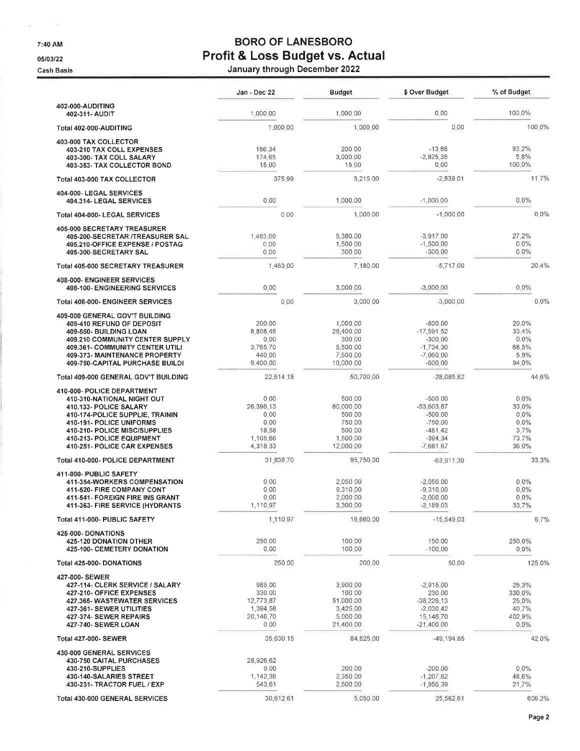7:40 AM

 $\sim$  $\mathbf{r}_1$ 

05/03/22

Cash Basis

# **BORO OF LANESBORO** Profit & Loss Budget vs. Actual<br>January through December 2022

|                                                                                                                                                                                                                                                 | Jan - Dec 22                                                       | <b>Budget</b>                                                              | \$ Over Budget                                                                               | % of Budget                                                   |
|-------------------------------------------------------------------------------------------------------------------------------------------------------------------------------------------------------------------------------------------------|--------------------------------------------------------------------|----------------------------------------------------------------------------|----------------------------------------------------------------------------------------------|---------------------------------------------------------------|
| 402-000-AUDITING<br>402-311- AUDIT                                                                                                                                                                                                              | 1,000.00                                                           | 1,000.00                                                                   | 0.00                                                                                         | 100.0%                                                        |
| Total 402-000-AUDITING                                                                                                                                                                                                                          | 1,000.00                                                           | 1,000.00                                                                   | 0.00                                                                                         | 100.0%                                                        |
| 403-000 TAX COLLECTOR<br>403-210 TAX COLL EXPENSES<br>403-300- TAX COLL SALARY<br>403-353- TAX COLLECTOR BOND                                                                                                                                   | 186.34<br>174.65<br>15.00                                          | 200.00<br>3,000.00<br>15,00                                                | $-13.66$<br>$-2,825,35$<br>0.00                                                              | 93.2%<br>5.8%<br>100 0%                                       |
| Total 403-000 TAX COLLECTOR                                                                                                                                                                                                                     | 375.99                                                             | 3,215,00                                                                   | $-2,839,01$                                                                                  | 11.7%                                                         |
| 404-000- LEGAL SERVICES<br>404.314- LEGAL SERVICES                                                                                                                                                                                              | 0.00                                                               | 1,000.00                                                                   | $-1,000,00$                                                                                  | 0.0%                                                          |
| Total 404-000- LEGAL SERVICES                                                                                                                                                                                                                   | 0.00                                                               | 1,000.00                                                                   | $-1,000,00$                                                                                  | 0.0%                                                          |
| 405-000 SECRETARY TREASURER<br>405-200-SECRETAR /TREASURER SAL<br>405.210-OFFICE EXPENSE / POSTAG<br>405-300-SECRETARY SAL                                                                                                                      | 1,463.00<br>0.00<br>0.00                                           | 5,380.00<br>1,500,00<br>300,00                                             | $-3,917,00$<br>$-1,500,00$<br>$-300.00$                                                      | 27.2%<br>0.0%<br>0.0%                                         |
| Total 405-000 SECRETARY TREASURER                                                                                                                                                                                                               | 1,463.00                                                           | 7,180,00                                                                   | $-5,717,00$                                                                                  | 20.4%                                                         |
| 408-000- ENGINEER SERVICES<br>408-100- ENGINEERING SERVICES                                                                                                                                                                                     | 0.00                                                               | 3,000,00                                                                   | $-3.000.00$                                                                                  | 0.0%                                                          |
| Total 408-000- ENGINEER SERVICES                                                                                                                                                                                                                | 0.00                                                               | 3,000.00                                                                   | $-3,000,00$                                                                                  | $0.0\%$                                                       |
| 409-000 GENERAL GOV'T BUILDING<br>409-410 REFUND OF DEPOSIT<br>409-550- BUILDING LOAN<br>409.210 COMMUNITY CENTER SUPPLY<br>409.361- COMMUNITY CENTER UTILI<br>409-373- MAINTENANCE PROPERTY<br>409-750-CAPITAL PURCHASE BUILDI                 | 200.00<br>8,808.48<br>0.00<br>3,765.70<br>440.00<br>9,400.00       | 1,000,00<br>26,400,00<br>300.00<br>5,500.00<br>7,500.00<br>10,000,00       | $-800.00$<br>$-17,591,52$<br>$-300.00$<br>$-1,734.30$<br>$-7,060,00$<br>$-600.00$            | 20.0%<br>33.4%<br>0.0%<br>68.5%<br>5.9%<br>94.0%              |
| Total 409-000 GENERAL GOV'T BUILDING                                                                                                                                                                                                            | 22,614.18                                                          | 50,700.00                                                                  | $-28,085.82$                                                                                 | 44.6%                                                         |
| 410-000- POLICE DEPARTMENT<br>410-310-NATIONAL NIGHT OUT<br>410.133- POLICE SALARY<br>410-174-POLICE SUPPLIE, TRAININ<br>410-191- POLICE UNIFORMS<br>410-210- POLICE MISC/SUPPLIES<br>410-213- POLICE EQUIPMENT<br>410-251- POLICE CAR EXPENSES | 0.00<br>26,396.13<br>0.00<br>0.00<br>18.58<br>1,105.66<br>4,318.33 | 500.00<br>80,000,00<br>500.00<br>750.00<br>500.00<br>1,500.00<br>12,000.00 | $-500.00$<br>$-53,603,87$<br>$-500.00$<br>$-750.00$<br>$-481.42$<br>$-394.34$<br>$-7,681.67$ | $0.0\%$<br>33.0%<br>0.0%<br>$0.0\%$<br>3.7%<br>73.7%<br>36.0% |
| Total 410-000- POLICE DEPARTMENT                                                                                                                                                                                                                | 31,838.70                                                          | 95,750.00                                                                  | $-63,911.30$                                                                                 | 33.3%                                                         |
| 411-000- PUBLIC SAFETY<br>411-354-WORKERS COMPENSATION<br>411-520- FIRE COMPANY CONT<br>411-541- FOREIGN FIRE INS GRANT<br>411-363- FIRE SERVICE (HYDRANTS                                                                                      | 0.00<br>0.00<br>0.00<br>1,110.97                                   | 2,050,00<br>9,310.00<br>2,000.00<br>3,300.00                               | $-2,050,00$<br>$-9.310.00$<br>$-2,000.00$<br>$-2,189.03$                                     | $0.0\%$<br>0.0%<br>0.0%<br>33,7%                              |
| Total 411-000- PUBLIC SAFETY                                                                                                                                                                                                                    | 1.110.97                                                           | 16,660.00                                                                  | $-15,549.03$                                                                                 | 6.7%                                                          |
| 425-000-DONATIONS<br>425-120 DONATION OTHER<br>425-100- CEMETERY DONATION                                                                                                                                                                       | 250.00<br>0.00                                                     | 100.00<br>100.00                                                           | 150.00<br>$-100.00$                                                                          | 250.0%<br>0.0%                                                |
| Total 425-000- DONATIONS                                                                                                                                                                                                                        | 250.00                                                             | 200.00                                                                     | 50.00                                                                                        | 125.0%                                                        |
| 427-000- SEWER<br>427-114- CLERK SERVICE / SALARY<br>427-210- OFFICE EXPENSES<br>427.365- WASTEWATER SERVICES<br>427-361- SEWER UTILITIES<br>427-374- SEWER REPAIRS<br>427-740- SEWER LOAN                                                      | 985.00<br>330.00<br>12,773.87<br>1,394,58<br>20,146.70<br>000      | 3,900.00<br>100.00<br>51,000.00<br>3,425,00<br>5,000,00<br>21,400.00       | $-2,915,00$<br>230.00<br>$-38,226,13$<br>$-2,030,42$<br>15,146.70<br>$-21,400,00$            | 25,3%<br>330,0%<br>25.0%<br>40.7%<br>402.9%<br>$0.0\%$        |
| <b>Total 427-000- SEWER</b>                                                                                                                                                                                                                     | 35,630.15                                                          | 84,825,00                                                                  | $-49,194.85$                                                                                 | 42.0%                                                         |
| 430-000 GENERAL SERVICES<br>430-750 CAITAL PURCHASES<br>430-210-SUPPLIES<br>430-140-SALARIES STREET<br>430-231- TRACTOR FUEL / EXP                                                                                                              | 28,926.62<br>0.00<br>1,142,38<br>543,61                            | 200.00<br>2,350.00<br>2,500,00                                             | $-200.00$<br>$-1,207.62$<br>$-1,956,39$                                                      | $0.0\%$<br>48.6%<br>21.7%                                     |
| Total 430-000 GENERAL SERVICES                                                                                                                                                                                                                  | 30,612.61                                                          | 5,050.00                                                                   | 25,562.61                                                                                    | 606.2%                                                        |